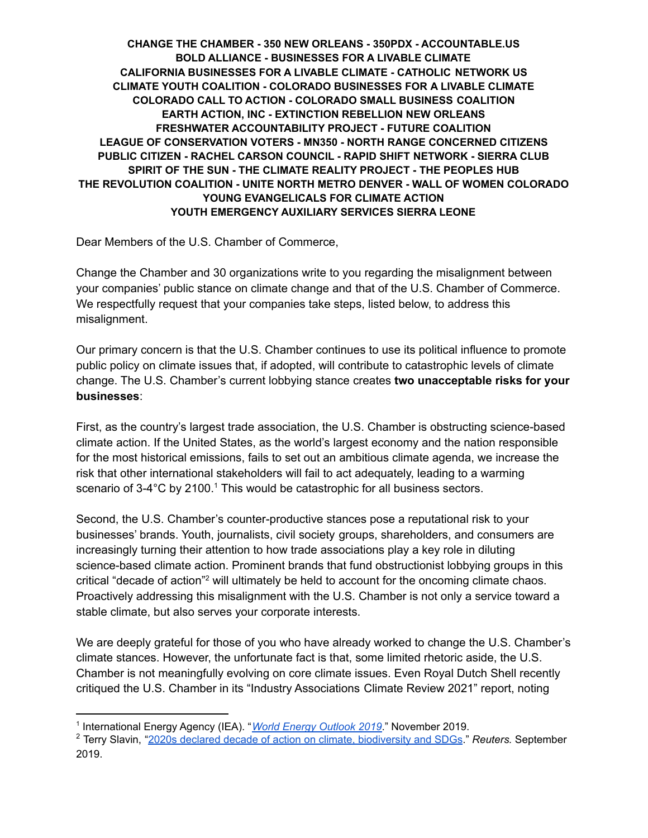**CHANGE THE CHAMBER - 350 NEW ORLEANS - 350PDX - ACCOUNTABLE.US BOLD ALLIANCE - BUSINESSES FOR A LIVABLE CLIMATE CALIFORNIA BUSINESSES FOR A LIVABLE CLIMATE - CATHOLIC NETWORK US CLIMATE YOUTH COALITION - COLORADO BUSINESSES FOR A LIVABLE CLIMATE COLORADO CALL TO ACTION - COLORADO SMALL BUSINESS COALITION EARTH ACTION, INC - EXTINCTION REBELLION NEW ORLEANS FRESHWATER ACCOUNTABILITY PROJECT - FUTURE COALITION LEAGUE OF CONSERVATION VOTERS - MN350 - NORTH RANGE CONCERNED CITIZENS PUBLIC CITIZEN - RACHEL CARSON COUNCIL - RAPID SHIFT NETWORK - SIERRA CLUB SPIRIT OF THE SUN - THE CLIMATE REALITY PROJECT - THE PEOPLES HUB THE REVOLUTION COALITION - UNITE NORTH METRO DENVER - WALL OF WOMEN COLORADO YOUNG EVANGELICALS FOR CLIMATE ACTION YOUTH EMERGENCY AUXILIARY SERVICES SIERRA LEONE**

Dear Members of the U.S. Chamber of Commerce,

Change the Chamber and 30 organizations write to you regarding the misalignment between your companies' public stance on climate change and that of the U.S. Chamber of Commerce. We respectfully request that your companies take steps, listed below, to address this misalignment.

Our primary concern is that the U.S. Chamber continues to use its political influence to promote public policy on climate issues that, if adopted, will contribute to catastrophic levels of climate change. The U.S. Chamber's current lobbying stance creates **two unacceptable risks for your businesses**:

First, as the country's largest trade association, the U.S. Chamber is obstructing science-based climate action. If the United States, as the world's largest economy and the nation responsible for the most historical emissions, fails to set out an ambitious climate agenda, we increase the risk that other international stakeholders will fail to act adequately, leading to a warming scenario of  $3-4^{\circ}$ C by 2100.<sup>1</sup> This would be catastrophic for all business sectors.

Second, the U.S. Chamber's counter-productive stances pose a reputational risk to your businesses' brands. Youth, journalists, civil society groups, shareholders, and consumers are increasingly turning their attention to how trade associations play a key role in diluting science-based climate action. Prominent brands that fund obstructionist lobbying groups in this critical "decade of action"<sup>2</sup> will ultimately be held to account for the oncoming climate chaos. Proactively addressing this misalignment with the U.S. Chamber is not only a service toward a stable climate, but also serves your corporate interests.

We are deeply grateful for those of you who have already worked to change the U.S. Chamber's climate stances. However, the unfortunate fact is that, some limited rhetoric aside, the U.S. Chamber is not meaningfully evolving on core climate issues. Even Royal Dutch Shell recently critiqued the U.S. Chamber in its "Industry Associations Climate Review 2021" report, noting

<sup>1</sup> International Energy Agency (IEA). "*World Energy [Outlook](https://webstore.iea.org/world-energy-outlook-2019) 2019*." November 2019.

<sup>2</sup> Terry Slavin, "2020s declared decade of action on climate, [biodiversity](https://www.reutersevents.com/sustainability/2020s-declared-decade-action-climate-biodiversity-and-sdgs) and SDGs." *Reuters.* September 2019.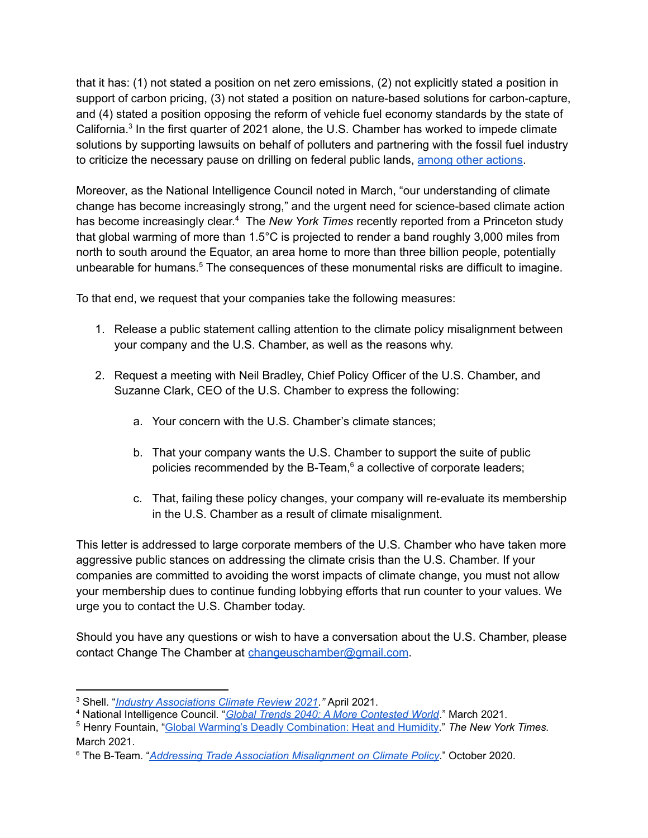that it has: (1) not stated a position on net zero emissions, (2) not explicitly stated a position in support of carbon pricing, (3) not stated a position on nature-based solutions for carbon-capture, and (4) stated a position opposing the reform of vehicle fuel economy standards by the state of California.<sup>3</sup> In the first quarter of 2021 alone, the U.S. Chamber has worked to impede climate solutions by supporting lawsuits on behalf of polluters and partnering with the fossil fuel industry to criticize the necessary pause on drilling on federal public lands, among other [actions](https://www.citizen.org/wp-content/uploads/Change-the-Chamber-Coalition-Letter-Supplement.pdf).

Moreover, as the National Intelligence Council noted in March, "our understanding of climate change has become increasingly strong," and the urgent need for science-based climate action has become increasingly clear. <sup>4</sup> The *New York Times* recently reported from a Princeton study that global warming of more than 1.5°C is projected to render a band roughly 3,000 miles from north to south around the Equator, an area home to more than three billion people, potentially unbearable for humans. <sup>5</sup> The consequences of these monumental risks are difficult to imagine.

To that end, we request that your companies take the following measures:

- 1. Release a public statement calling attention to the climate policy misalignment between your company and the U.S. Chamber, as well as the reasons why.
- 2. Request a meeting with Neil Bradley, Chief Policy Officer of the U.S. Chamber, and Suzanne Clark, CEO of the U.S. Chamber to express the following:
	- a. Your concern with the U.S. Chamber's climate stances;
	- b. That your company wants the U.S. Chamber to support the suite of public policies recommended by the B-Team, <sup>6</sup> a collective of corporate leaders;
	- c. That, failing these policy changes, your company will re-evaluate its membership in the U.S. Chamber as a result of climate misalignment.

This letter is addressed to large corporate members of the U.S. Chamber who have taken more aggressive public stances on addressing the climate crisis than the U.S. Chamber. If your companies are committed to avoiding the worst impacts of climate change, you must not allow your membership dues to continue funding lobbying efforts that run counter to your values. We urge you to contact the U.S. Chamber today.

Should you have any questions or wish to have a conversation about the U.S. Chamber, please contact Change The Chamber at [changeuschamber@gmail.com](mailto:changeuschamber@gmail.com).

<sup>3</sup> Shell. "*Industry [Associations](https://www.shell.com/promos/sustainability/industry-associations-climate-review-2021/_jcr_content.stream/1617784370604/bbe8a29c319bef3c08424184b21543dc6c032239/shell-industry-associations-report-2021.pdf) Climate Review 2021."* April 2021.

<sup>4</sup> National Intelligence Council*.* "*Global Trends 2040: A More [Contested](https://www.dni.gov/files/ODNI/documents/assessments/GlobalTrends_2040.pdf?utm_campaign=Hot%20News&utm_medium=email&_hsmi=120475473&_hsenc=p2ANqtz-8_W1V18CuY4nRJPaxZTt5WYMtKRrgztosUSBi8E3bQTcSPhCZOBWVSQjOX5ZFrmyWFA2dJZhGspwfNUIvNCa32BIEAnQ&utm_content=120475473&utm_source=hs_email) World*." March 2021.

<sup>5</sup> Henry Fountain, "Global Warming's Deadly [Combination:](https://www.nytimes.com/2021/03/08/climate/climate-change-heat-tropics.html) Heat and Humidity." *The New York Times.* March 2021.

<sup>6</sup> The B-Team. "*Addressing Trade Association [Misalignment](https://bteam.org/our-thinking/reports/addressing-trade-association-misalignment-on-climate-policy) on Climate Policy*." October 2020.